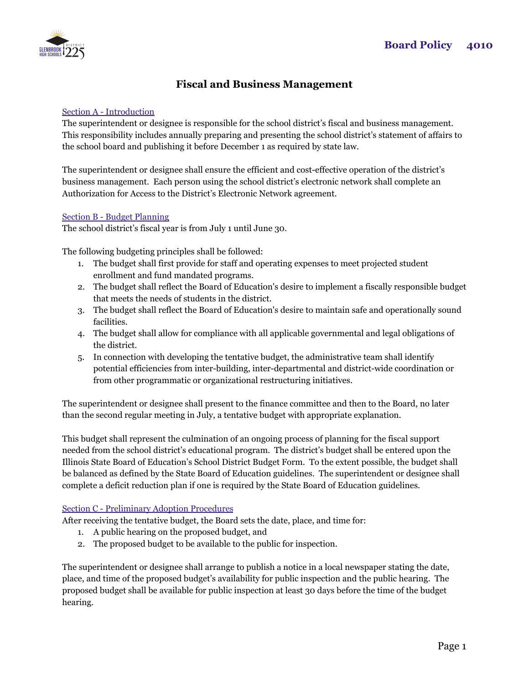

# **Fiscal and Business Management**

## Section A - Introduction

The superintendent or designee is responsible for the school district's fiscal and business management. This responsibility includes annually preparing and presenting the school district's statement of affairs to the school board and publishing it before December 1 as required by state law.

The superintendent or designee shall ensure the efficient and cost-effective operation of the district's business management. Each person using the school district's electronic network shall complete an Authorization for Access to the District's Electronic Network agreement.

### Section B - Budget Planning

The school district's fiscal year is from July 1 until June 30.

The following budgeting principles shall be followed:

- 1. The budget shall first provide for staff and operating expenses to meet projected student enrollment and fund mandated programs.
- 2. The budget shall reflect the Board of Education's desire to implement a fiscally responsible budget that meets the needs of students in the district.
- 3. The budget shall reflect the Board of Education's desire to maintain safe and operationally sound facilities.
- 4. The budget shall allow for compliance with all applicable governmental and legal obligations of the district.
- 5. In connection with developing the tentative budget, the administrative team shall identify potential efficiencies from inter-building, inter-departmental and district-wide coordination or from other programmatic or organizational restructuring initiatives.

The superintendent or designee shall present to the finance committee and then to the Board, no later than the second regular meeting in July, a tentative budget with appropriate explanation.

This budget shall represent the culmination of an ongoing process of planning for the fiscal support needed from the school district's educational program. The district's budget shall be entered upon the Illinois State Board of Education's School District Budget Form. To the extent possible, the budget shall be balanced as defined by the State Board of Education guidelines. The superintendent or designee shall complete a deficit reduction plan if one is required by the State Board of Education guidelines.

## Section C - Preliminary Adoption Procedures

After receiving the tentative budget, the Board sets the date, place, and time for:

- 1. A public hearing on the proposed budget, and
- 2. The proposed budget to be available to the public for inspection.

The superintendent or designee shall arrange to publish a notice in a local newspaper stating the date, place, and time of the proposed budget's availability for public inspection and the public hearing. The proposed budget shall be available for public inspection at least 30 days before the time of the budget hearing.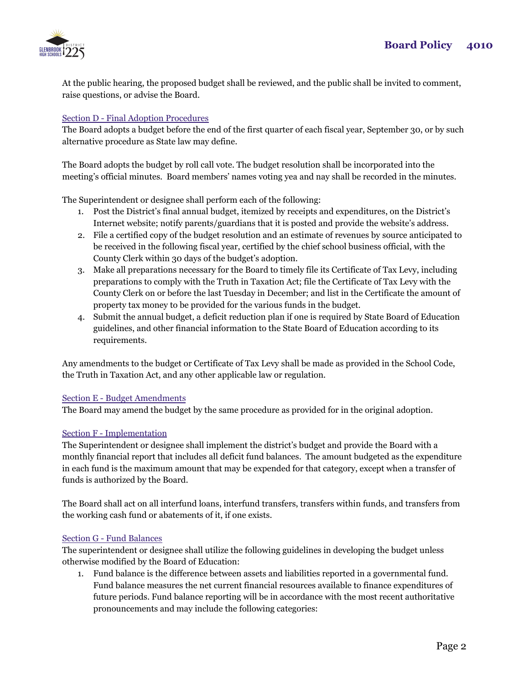

At the public hearing, the proposed budget shall be reviewed, and the public shall be invited to comment, raise questions, or advise the Board.

## Section D - Final Adoption Procedures

The Board adopts a budget before the end of the first quarter of each fiscal year, September 30, or by such alternative procedure as State law may define.

The Board adopts the budget by roll call vote. The budget resolution shall be incorporated into the meeting's official minutes. Board members' names voting yea and nay shall be recorded in the minutes.

The Superintendent or designee shall perform each of the following:

- 1. Post the District's final annual budget, itemized by receipts and expenditures, on the District's Internet website; notify parents/guardians that it is posted and provide the website's address.
- 2. File a certified copy of the budget resolution and an estimate of revenues by source anticipated to be received in the following fiscal year, certified by the chief school business official, with the County Clerk within 30 days of the budget's adoption.
- 3. Make all preparations necessary for the Board to timely file its Certificate of Tax Levy, including preparations to comply with the Truth in Taxation Act; file the Certificate of Tax Levy with the County Clerk on or before the last Tuesday in December; and list in the Certificate the amount of property tax money to be provided for the various funds in the budget.
- 4. Submit the annual budget, a deficit reduction plan if one is required by State Board of Education guidelines, and other financial information to the State Board of Education according to its requirements.

Any amendments to the budget or Certificate of Tax Levy shall be made as provided in the School Code, the Truth in Taxation Act, and any other applicable law or regulation.

#### Section E - Budget Amendments

The Board may amend the budget by the same procedure as provided for in the original adoption.

#### Section F - Implementation

The Superintendent or designee shall implement the district's budget and provide the Board with a monthly financial report that includes all deficit fund balances. The amount budgeted as the expenditure in each fund is the maximum amount that may be expended for that category, except when a transfer of funds is authorized by the Board.

The Board shall act on all interfund loans, interfund transfers, transfers within funds, and transfers from the working cash fund or abatements of it, if one exists.

#### Section G - Fund Balances

The superintendent or designee shall utilize the following guidelines in developing the budget unless otherwise modified by the Board of Education:

1. Fund balance is the difference between assets and liabilities reported in a governmental fund. Fund balance measures the net current financial resources available to finance expenditures of future periods. Fund balance reporting will be in accordance with the most recent authoritative pronouncements and may include the following categories: